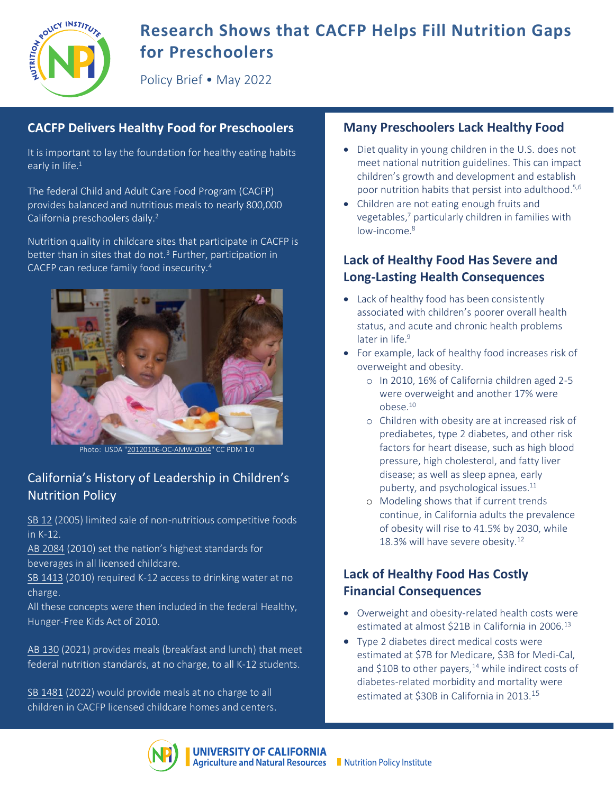

# **Research Shows that CACFP Helps Fill Nutrition Gaps for Preschoolers**

Policy Brief • May 2022

### **CACFP Delivers Healthy Food for Preschoolers**

It is important to lay the foundation for healthy eating habits early in life.<sup>1</sup>

The federal Child and Adult Care Food Program (CACFP) provides balanced and nutritious meals to nearly 800,000 California preschoolers daily.<sup>2</sup>

Nutrition quality in childcare sites that participate in CACFP is better than in sites that do not.<sup>3</sup> Further, participation in CACFP can reduce family food insecurity.4



Photo: USDA ["20120106-OC-AMW-0104"](https://www.flickr.com/photos/41284017@N08/7042900703) CC PDM 1.0

### California's History of Leadership in Children's Nutrition Policy

SB [12](https://leginfo.legislature.ca.gov/faces/billNavClient.xhtml?bill_id=200520060SB12) (2005) limited sale of non-nutritious competitive foods in K-12.

[AB 2084](http://www.leginfo.ca.gov/pub/09-10/bill/asm/ab_2051-2100/ab_2084_bill_20100930_chaptered.html) (2010) set the nation's highest standards for beverages in all licensed childcare.

[SB 1413](https://leginfo.legislature.ca.gov/faces/billNavClient.xhtml?bill_id=200920100SB1413) (2010) required K-12 access to drinking water at no charge.

All these concepts were then included in the federal Healthy, Hunger-Free Kids Act of 2010.

[AB 130](https://leginfo.legislature.ca.gov/faces/billTextClient.xhtml?bill_id=202120220AB130) (2021) provides meals (breakfast and lunch) that meet federal nutrition standards, at no charge, to all K-12 students.

[SB 1481](https://leginfo.legislature.ca.gov/faces/billNavClient.xhtml?bill_id=202120220SB1481) (2022) would provide meals at no charge to all children in CACFP licensed childcare homes and centers.

#### **Many Preschoolers Lack Healthy Food**

- Diet quality in young children in the U.S. does not meet national nutrition guidelines. This can impact children's growth and development and establish poor nutrition habits that persist into adulthood. 5,6
- Children are not eating enough fruits and vegetables, <sup>7</sup> particularly children in families with low-income. 8

## **Lack of Healthy Food Has Severe and Long-Lasting Health Consequences**

- Lack of healthy food has been consistently associated with children's poorer overall health status, and acute and chronic health problems later in life. 9
- For example, lack of healthy food increases risk of overweight and obesity.
	- o In 2010, 16% of California children aged 2-5 were overweight and another 17% were obese.10
	- o Children with obesity are at increased risk of prediabetes, type 2 diabetes, and other risk factors for heart disease, such as high blood pressure, high cholesterol, and fatty liver disease; as well as sleep apnea, early puberty, and psychological issues. 11
	- o Modeling shows that if current trends continue, in California adults the prevalence of obesity will rise to 41.5% by 2030, while 18.3% will have severe obesity.<sup>12</sup>

#### **Lack of Healthy Food Has Costly Financial Consequences**

- Overweight and obesity-related health costs were estimated at almost \$21B in California in 2006.<sup>13</sup>
- Type 2 diabetes direct medical costs were estimated at \$7B for Medicare, \$3B for Medi-Cal, and  $$10B$  to other payers,<sup>14</sup> while indirect costs of diabetes-related morbidity and mortality were estimated at \$30B in California in 2013.<sup>15</sup>